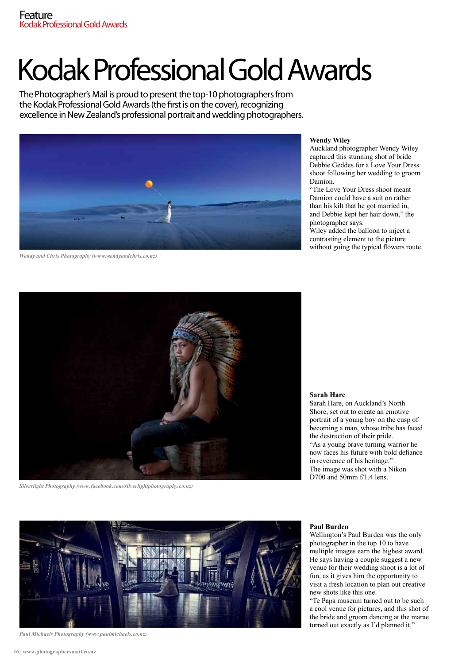# Kodak Professional Gold Awards

The Photographer's Mail is proud to present the top-10 photographers from the Kodak Professional Gold Awards (the first is on the cover), recognizing excellence in New Zealand's professional portrait and wedding photographers.



*Wendy and Chris Photography (www.wendyandchris.co.nz)*

## **Wendy Wiley**

Auckland photographer Wendy Wiley captured this stunning shot of bride Debbie Geddes for a Love Your Dress shoot following her wedding to groom Damion.

"The Love Your Dress shoot meant Damion could have a suit on rather than his kilt that he got married in, and Debbie kept her hair down," the photographer says.

Wiley added the balloon to inject a contrasting element to the picture without going the typical flowers route.



*Silverlight Photography (www.facebook.com/silverlightphotography.co.nz)*

## **Sarah Hare**

Sarah Hare, on Auckland's North Shore, set out to create an emotive portrait of a young boy on the cusp of becoming a man, whose tribe has faced the destruction of their pride. "As a young brave turning warrior he now faces his future with bold defiance in reverence of his heritage." The image was shot with a Nikon D700 and 50mm f/1.4 lens.



*Paul Michaels Photography (www.paulmichaels.co.nz)*

### **Paul Burden**

Wellington's Paul Burden was the only photographer in the top 10 to have multiple images earn the highest award. He says having a couple suggest a new venue for their wedding shoot is a lot of fun, as it gives him the opportunity to visit a fresh location to plan out creative new shots like this one.

"Te Papa museum turned out to be such a cool venue for pictures, and this shot of the bride and groom dancing at the marae turned out exactly as I'd planned it."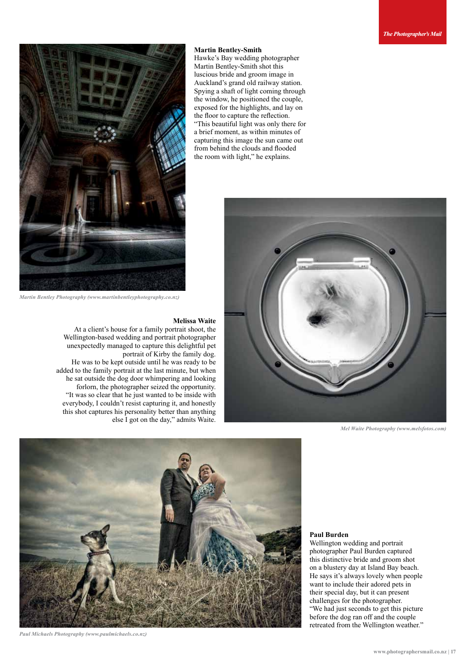**Martin Bentley-Smith** Hawke's Bay wedding photographer Martin Bentley-Smith shot this luscious bride and groom image in Auckland's grand old railway station. Spying a shaft of light coming through the window, he positioned the couple, exposed for the highlights, and lay on the floor to capture the reflection. "This beautiful light was only there for a brief moment, as within minutes of capturing this image the sun came out from behind the clouds and flooded the room with light," he explains.



*Martin Bentley Photography (www.martinbentleyphotography.co.nz)*

## **Melissa Waite**

At a client's house for a family portrait shoot, the Wellington-based wedding and portrait photographer unexpectedly managed to capture this delightful pet portrait of Kirby the family dog. He was to be kept outside until he was ready to be added to the family portrait at the last minute, but when he sat outside the dog door whimpering and looking forlorn, the photographer seized the opportunity. "It was so clear that he just wanted to be inside with everybody, I couldn't resist capturing it, and honestly this shot captures his personality better than anything else I got on the day," admits Waite.



*Mel Waite Photography (www.melsfotos.com)*



*Paul Michaels Photography (www.paulmichaels.co.nz)*

#### **Paul Burden**

Wellington wedding and portrait photographer Paul Burden captured this distinctive bride and groom shot on a blustery day at Island Bay beach. He says it's always lovely when people want to include their adored pets in their special day, but it can present challenges for the photographer. "We had just seconds to get this picture before the dog ran off and the couple retreated from the Wellington weather."